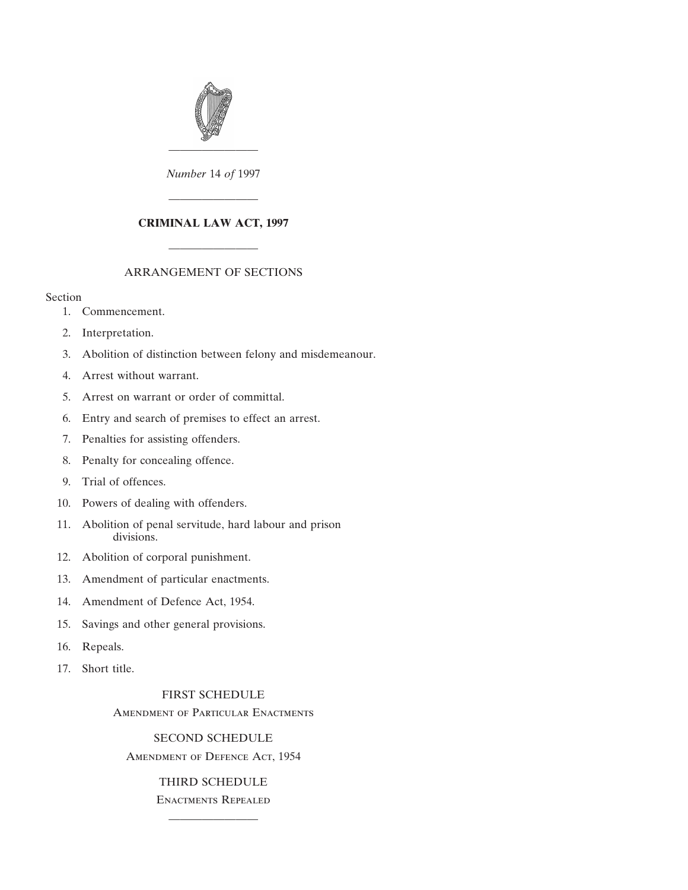

*Number* 14 *of* 1997

————————

## **CRIMINAL LAW ACT, 1997**

## ARRANGEMENT OF SECTIONS

————————

### Section

- [1. Commencement.](#page-2-0)
- [2. Interpretation.](#page-2-0)
- [3. Abolition of distinction between felony and misdemeanour.](#page-3-0)
- [4. Arrest without warrant.](#page-3-0)
- [5. Arrest on warrant or order of committal.](#page-3-0)
- [6. Entry and search of premises to effect an arrest.](#page-3-0)
- [7. Penalties for assisting offenders.](#page-4-0)
- [8. Penalty for concealing offence.](#page-5-0)
- [9. Trial of offences.](#page-5-0)
- [10. Powers of dealing with offenders.](#page-7-0)
- [11. Abolition of penal servitude, hard labour and prison](#page-7-0) divisions.
- [12. Abolition of corporal punishment.](#page-8-0)
- [13. Amendment of particular enactments.](#page-8-0)
- [14. Amendment of Defence Act, 1954.](#page-8-0)
- [15. Savings and other general provisions.](#page-8-0)
- [16. Repeals.](#page-9-0)
- [17. Short title.](#page-9-0)

## [FIRST SCHEDULE](#page-9-0) Amendment of Particular Enactments

[SECOND SCHEDULE](#page-10-0) Amendment of Defence Act, 1954

# [THIRD SCHEDULE](#page-12-0) Enactments Repealed

————————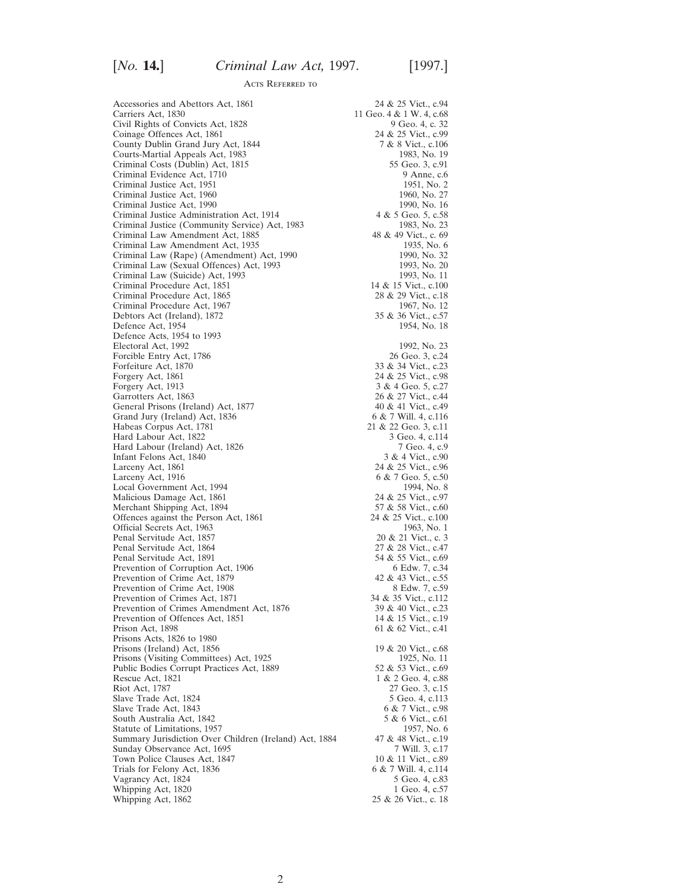Carriers Act, 1830 11 Geo. 4 & 1 W. 4, c.68<br>Civil Rights of Convicts Act, 1828 9 Geo. 4, c. 32 Civil Rights of Convicts Act, 1828 9 Geo. 4, c. 32<br>
Coinage Offences Act, 1861 24 & 25 Vict., c.99 Coinage Offences Act, 1861 County Dublin Grand Jury Act, 1844 7 & 8 Vict., c.106<br>
Courts-Martial Appeals Act, 1983 7 83, No. 19 Courts-Martial Appeals Act, 1983<br>
Criminal Costs (Dublin) Act, 1815<br>
55 Geo. 3, c.91 Criminal Costs (Dublin) Act, 1815 Criminal Evidence Act, 1710 9 Anne, c.6<br>
Criminal Justice Act, 1951 9 2011 1951, No. 2 Criminal Justice Act, 1951 Criminal Justice Act, 1960 1960, No. 27<br>Criminal Justice Act, 1990 1990, No. 16 Criminal Justice Act, 1990 Criminal Justice Administration Act, 1914 4 & 5 Geo. 5, c.58<br>Criminal Justice (Community Service) Act, 1983 483, No. 23 Criminal Justice (Community Service) Act, 1983<br>
Criminal Law Amendment Act, 1885<br>
48 & 49 Vict., c. 69 Criminal Law Amendment Act, 1885 48 & 49 Vict., c. 69<br>Criminal Law Amendment Act, 1935 48 49 1935, No. 6 Criminal Law Amendment Act, 1935<br>
Criminal Law (Rape) (Amendment) Act, 1990<br>
1990, No. 32 Criminal Law (Rape) (Amendment) Act, 1990 Criminal Law (Sexual Offences) Act, 1993 1993, No. 20<br>Criminal Law (Suicide) Act, 1993 1993, No. 11 Criminal Law (Suicide) Act, 1993 Criminal Procedure Act, 1851 14 & 15 Vict., c.100<br>Criminal Procedure Act, 1865 28 & 29 Vict., c.18 Criminal Procedure Act, 1865 28 & 29 Vict., c.18<br>Criminal Procedure Act, 1967 1967, No. 12 Criminal Procedure Act, 1967<br>
Debtors Act (Ireland), 1872<br>
35 & 36 Vict., c.57 Debtors Act (Ireland), 1872 35 & 36 Vict., c.57<br>Defence Act, 1954 1954, No. 18 Defence Act, 1954 Defence Acts, 1954 to 1993 Electoral Act, 1992<br>
Forcible Entry Act, 1786<br>
26 Geo. 3, c.24 Forcible Entry Act, 1786 26 Geo. 3, c.24<br>Forfeiture Act, 1870 28 33 & 34 Vict., c.23 Forfeiture Act, 1870<br>Forgery Act, 1861 Forgery Act, 1913 Garrotters Act, 1863 26 & 27 Vict., c.44<br>
General Prisons (Ireland) Act, 1877 40 & 41 Vict., c.49 General Prisons (Ireland) Act, 1877 Grand Jury (Ireland) Act, 1836 6 & 7 Will. 4, c.116 Habeas Corpus Act, 1781 21 & 22 Geo. 3, c.11 Habeas Corpus Act, 1781 21 & 22 Geo. 3, c.11<br>
Hard Labour Act, 1822 3 Geo. 4, c.114 Hard Labour Act, 1822 Hard Labour (Ireland) Act, 1826 7 Geo. 4, c.9 Infant Felons Act, 1840 Larceny Act, 1861<br>
Larceny Act, 1916<br>
6 & 7 Geo. 5, c.50 Local Government Act, 1994<br>
Malicious Damage Act, 1861<br>
24 & 25 Vict., c.97 Malicious Damage Act, 1861 24 & 25 Vict., c.97<br>Merchant Shipping Act, 1894 57 & 58 Vict., c.60 Merchant Shipping Act, 1894 57 & 58 Vict., c.60<br>Offences against the Person Act, 1861 24 & 25 Vict., c.100 Offences against the Person Act, 1861 24 & 25 Vict., c.100<br>Official Secrets Act, 1963 1963, No. 1 Official Secrets Act, 1963<br>
Penal Servitude Act, 1857<br>
20 & 21 Vict., c. 3 Penal Servitude Act, 1857<br>
Penal Servitude Act, 1864<br>
27 & 28 Vict., c. 47 Penal Servitude Act, 1864<br>
Penal Servitude Act, 1891<br>
27 & 28 Vict., c.47<br>
54 & 55 Vict., c.69 Penal Servitude Act, 1891 54 & 55 Vict., c.69<br>Prevention of Corruption Act, 1906 6 Edw. 7, c.34 Prevention of Corruption Act, 1906 Prevention of Crime Act, 1879 42 & 43 Vict., c.55<br>Prevention of Crime Act, 1908 8 Edw. 7, c.59 Prevention of Crime Act, 1908 8 Edw. 7, c.59<br>Prevention of Crimes Act, 1871 34 & 35 Vict., c.112 Prevention of Crimes Act, 1871 34 & 35 Vict., c.112<br>Prevention of Crimes Amendment Act, 1876 39 & 40 Vict., c.23 Prevention of Crimes Amendment Act, 1876 39 & 40 Vict., c.23<br>Prevention of Offences Act, 1851 14 & 15 Vict., c.19 Prevention of Offences Act, 1851<br>Prison Act, 1898 Prisons Acts, 1826 to 1980 Prisons (Ireland) Act, 1856 19 & 20 Vict., c.68 Prisons (Visiting Committees) Act, 1925 1925, No. 11<br>Public Bodies Corrupt Practices Act, 1889 52 & 53 Vict., c.69 Public Bodies Corrupt Practices Act, 1889<br>Rescue Act, 1821 Rescue Act, 1821 1 & 2 Geo. 4, c.88<br>Riot Act. 1787 27 Geo. 3, c.15 Slave Trade Act, 1824 5 Geo. 4, c.113<br>Slave Trade Act, 1843 6 & 7 Vict., c.98 Slave Trade Act, 1843 South Australia Act, 1842 5 & 6 Vict., c.61<br>Statute of Limitations, 1957 1957, No. 6 Statute of Limitations, 1957<br>
Summary Jurisdiction Over Children (Ireland) Act, 1884 47 & 48 Vict., c.19 Summary Jurisdiction Over Children (Ireland) Act, 1884 Sunday Observance Act, 1695 7 Will. 3, c.17<br>
Town Police Clauses Act, 1847 10 & 11 Vict., c.89 Town Police Clauses Act, 1847 10 & 11 Vict., c.89<br>
Trials for Felony Act. 1836 6 & 7 Will. 4, c.114 Trials for Felony Act, 1836 6 & 7 Will. 4, c.114<br>Vagrancy Act, 1824 5 Geo. 4, c.83 Vagrancy Act, 1824 5 Geo. 4, c.83<br>
Whipping Act, 1820 1 Geo. 4, c.57 Whipping Act, 1820<br>Whipping Act, 1862

Accessories and Abettors Act, 1861 24 & 25 Vict., c.94 24 & 25 Vict., c.98<br>3 & 4 Geo. 5, c.27 6 & 7 Geo. 5, c.50<br>1994, No. 8 61 & 62 Vict., c.41 27 Geo. 3, c.15 25 & 26 Vict., c. 18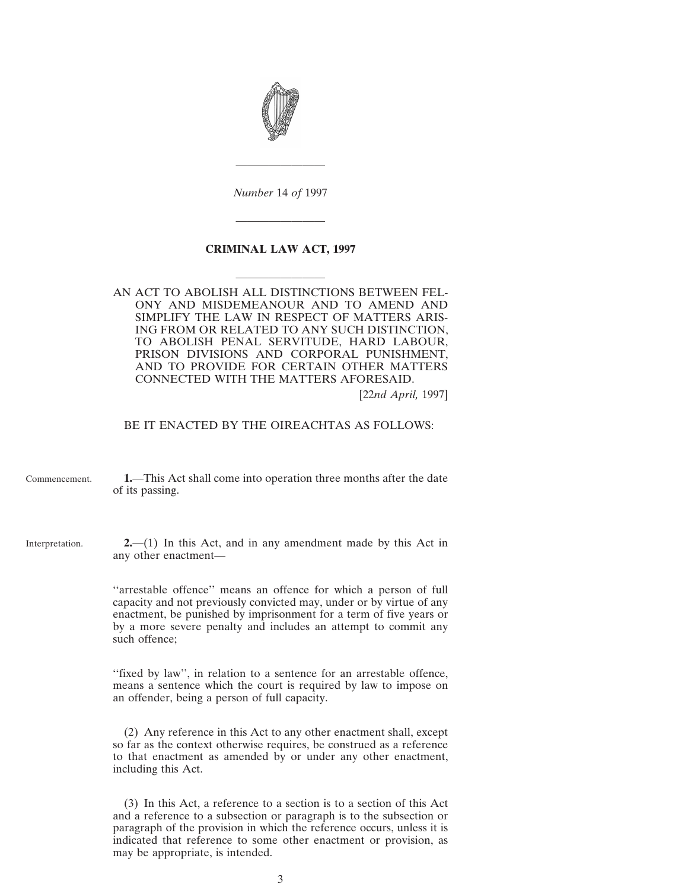<span id="page-2-0"></span>

*Number* 14 *of* 1997

————————

————————

### **CRIMINAL LAW ACT, 1997**

————————

AN ACT TO ABOLISH ALL DISTINCTIONS BETWEEN FEL-ONY AND MISDEMEANOUR AND TO AMEND AND SIMPLIFY THE LAW IN RESPECT OF MATTERS ARIS-ING FROM OR RELATED TO ANY SUCH DISTINCTION, TO ABOLISH PENAL SERVITUDE, HARD LABOUR, PRISON DIVISIONS AND CORPORAL PUNISHMENT, AND TO PROVIDE FOR CERTAIN OTHER MATTERS CONNECTED WITH THE MATTERS AFORESAID.

[22*nd April,* 1997]

### BE IT ENACTED BY THE OIREACHTAS AS FOLLOWS:

- Commencement. **1.**—This Act shall come into operation three months after the date of its passing.
- Interpretation. **2.**—(1) In this Act, and in any amendment made by this Act in any other enactment—

''arrestable offence'' means an offence for which a person of full capacity and not previously convicted may, under or by virtue of any enactment, be punished by imprisonment for a term of five years or by a more severe penalty and includes an attempt to commit any such offence;

''fixed by law'', in relation to a sentence for an arrestable offence, means a sentence which the court is required by law to impose on an offender, being a person of full capacity.

(2) Any reference in this Act to any other enactment shall, except so far as the context otherwise requires, be construed as a reference to that enactment as amended by or under any other enactment, including this Act.

(3) In this Act, a reference to a section is to a section of this Act and a reference to a subsection or paragraph is to the subsection or paragraph of the provision in which the reference occurs, unless it is indicated that reference to some other enactment or provision, as may be appropriate, is intended.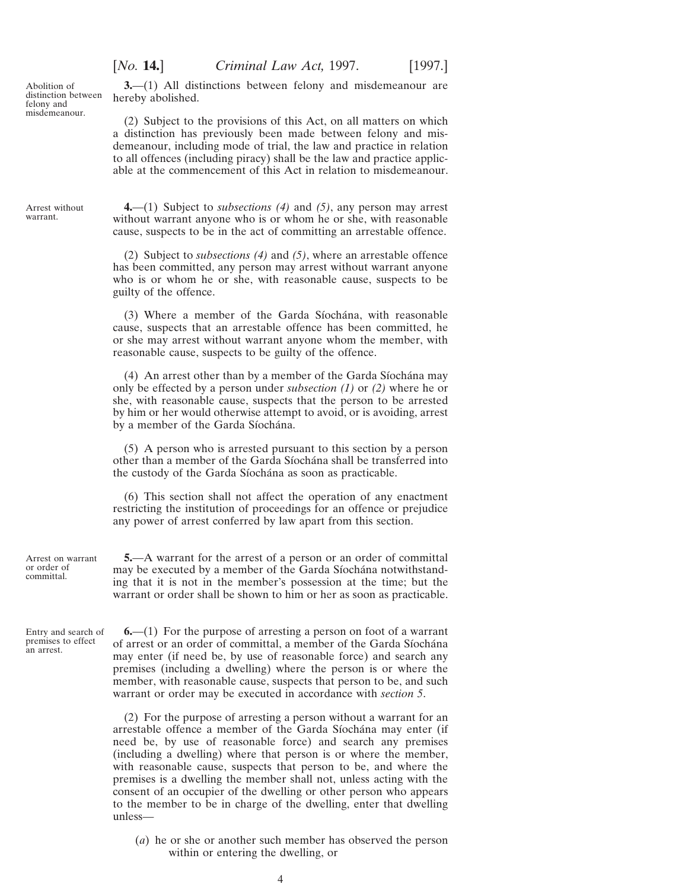<span id="page-3-0"></span>Abolition of distinction between felony and misdemeanour.

**3.**—(1) All distinctions between felony and misdemeanour are hereby abolished.

(2) Subject to the provisions of this Act, on all matters on which a distinction has previously been made between felony and misdemeanour, including mode of trial, the law and practice in relation to all offences (including piracy) shall be the law and practice applicable at the commencement of this Act in relation to misdemeanour.

Arrest without warrant.

**4.**—(1) Subject to *subsections (4)* and *(5)*, any person may arrest without warrant anyone who is or whom he or she, with reasonable cause, suspects to be in the act of committing an arrestable offence.

(2) Subject to *subsections (4)* and *(5)*, where an arrestable offence has been committed, any person may arrest without warrant anyone who is or whom he or she, with reasonable cause, suspects to be guilty of the offence.

(3) Where a member of the Garda Síochána, with reasonable cause, suspects that an arrestable offence has been committed, he or she may arrest without warrant anyone whom the member, with reasonable cause, suspects to be guilty of the offence.

(4) An arrest other than by a member of the Garda Síochána may only be effected by a person under *subsection (1)* or *(2)* where he or she, with reasonable cause, suspects that the person to be arrested by him or her would otherwise attempt to avoid, or is avoiding, arrest by a member of the Garda Síochána.

(5) A person who is arrested pursuant to this section by a person other than a member of the Garda Síochána shall be transferred into the custody of the Garda Síochána as soon as practicable.

(6) This section shall not affect the operation of any enactment restricting the institution of proceedings for an offence or prejudice any power of arrest conferred by law apart from this section.

Arrest on warrant or order of committal.

**5.**—A warrant for the arrest of a person or an order of committal may be executed by a member of the Garda Síochána notwithstanding that it is not in the member's possession at the time; but the warrant or order shall be shown to him or her as soon as practicable.

Entry and search of premises to effect an arrest.

**6.**—(1) For the purpose of arresting a person on foot of a warrant of arrest or an order of committal, a member of the Garda Síochána may enter (if need be, by use of reasonable force) and search any premises (including a dwelling) where the person is or where the member, with reasonable cause, suspects that person to be, and such warrant or order may be executed in accordance with *section 5*.

(2) For the purpose of arresting a person without a warrant for an arrestable offence a member of the Garda Síochána may enter (if need be, by use of reasonable force) and search any premises (including a dwelling) where that person is or where the member, with reasonable cause, suspects that person to be, and where the premises is a dwelling the member shall not, unless acting with the consent of an occupier of the dwelling or other person who appears to the member to be in charge of the dwelling, enter that dwelling unless—

(*a*) he or she or another such member has observed the person within or entering the dwelling, or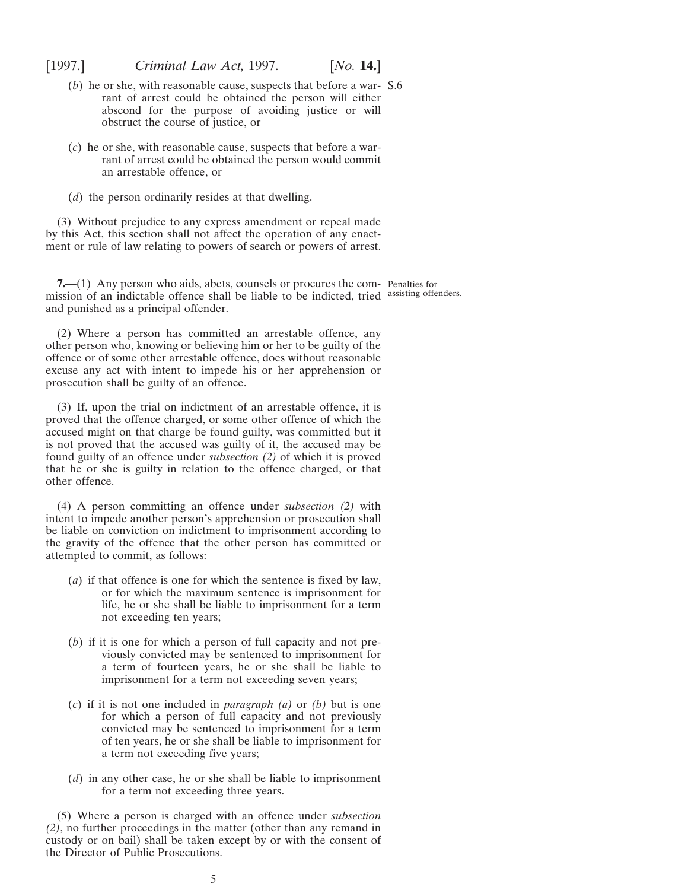<span id="page-4-0"></span>

- (*b*) he or she, with reasonable cause, suspects that before a war-S.6 rant of arrest could be obtained the person will either abscond for the purpose of avoiding justice or will obstruct the course of justice, or
- (*c*) he or she, with reasonable cause, suspects that before a warrant of arrest could be obtained the person would commit an arrestable offence, or
- (*d*) the person ordinarily resides at that dwelling.

(3) Without prejudice to any express amendment or repeal made by this Act, this section shall not affect the operation of any enactment or rule of law relating to powers of search or powers of arrest.

**7.**—(1) Any person who aids, abets, counsels or procures the com- Penalties for mission of an indictable offence shall be liable to be indicted, tried assisting offenders.and punished as a principal offender.

(2) Where a person has committed an arrestable offence, any other person who, knowing or believing him or her to be guilty of the offence or of some other arrestable offence, does without reasonable excuse any act with intent to impede his or her apprehension or prosecution shall be guilty of an offence.

(3) If, upon the trial on indictment of an arrestable offence, it is proved that the offence charged, or some other offence of which the accused might on that charge be found guilty, was committed but it is not proved that the accused was guilty of it, the accused may be found guilty of an offence under *subsection (2)* of which it is proved that he or she is guilty in relation to the offence charged, or that other offence.

(4) A person committing an offence under *subsection (2)* with intent to impede another person's apprehension or prosecution shall be liable on conviction on indictment to imprisonment according to the gravity of the offence that the other person has committed or attempted to commit, as follows:

- (*a*) if that offence is one for which the sentence is fixed by law, or for which the maximum sentence is imprisonment for life, he or she shall be liable to imprisonment for a term not exceeding ten years;
- (*b*) if it is one for which a person of full capacity and not previously convicted may be sentenced to imprisonment for a term of fourteen years, he or she shall be liable to imprisonment for a term not exceeding seven years;
- (*c*) if it is not one included in *paragraph (a)* or *(b)* but is one for which a person of full capacity and not previously convicted may be sentenced to imprisonment for a term of ten years, he or she shall be liable to imprisonment for a term not exceeding five years;
- (*d*) in any other case, he or she shall be liable to imprisonment for a term not exceeding three years.

(5) Where a person is charged with an offence under *subsection (2)*, no further proceedings in the matter (other than any remand in custody or on bail) shall be taken except by or with the consent of the Director of Public Prosecutions.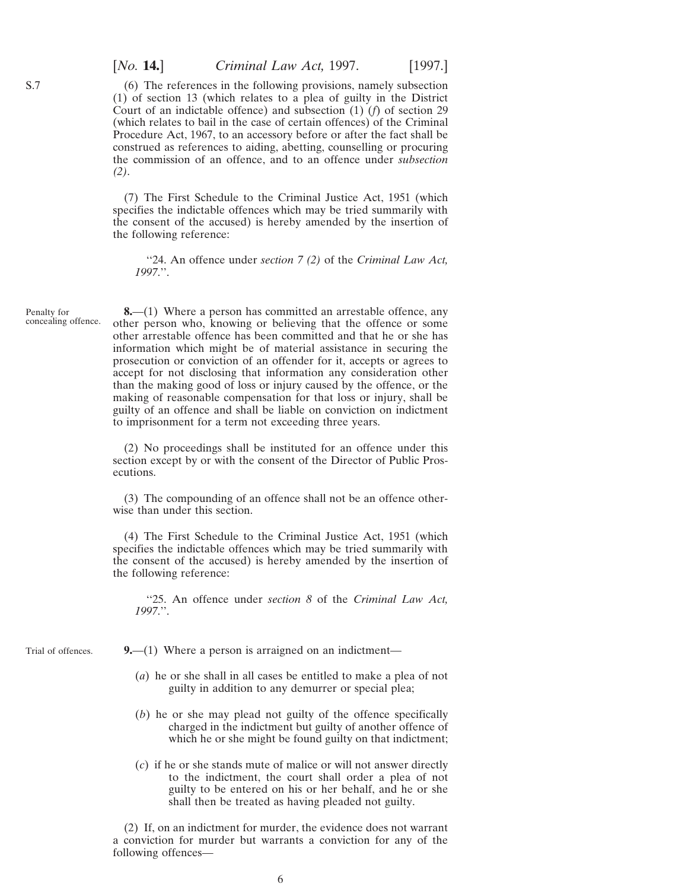(6) The references in the following provisions, namely subsection (1) of section 13 (which relates to a plea of guilty in the District Court of an indictable offence) and subsection (1) (*f*) of section 29 (which relates to bail in the case of certain offences) of the Criminal Procedure Act, 1967, to an accessory before or after the fact shall be construed as references to aiding, abetting, counselling or procuring the commission of an offence, and to an offence under *subsection (2)*.

(7) The First Schedule to the Criminal Justice Act, 1951 (which specifies the indictable offences which may be tried summarily with the consent of the accused) is hereby amended by the insertion of the following reference:

''24. An offence under *section 7 (2)* of the *Criminal Law Act, 1997*.''.

Penalty for concealing offence.

**8.**—(1) Where a person has committed an arrestable offence, any other person who, knowing or believing that the offence or some other arrestable offence has been committed and that he or she has information which might be of material assistance in securing the prosecution or conviction of an offender for it, accepts or agrees to accept for not disclosing that information any consideration other than the making good of loss or injury caused by the offence, or the making of reasonable compensation for that loss or injury, shall be guilty of an offence and shall be liable on conviction on indictment to imprisonment for a term not exceeding three years.

(2) No proceedings shall be instituted for an offence under this section except by or with the consent of the Director of Public Prosecutions.

(3) The compounding of an offence shall not be an offence otherwise than under this section.

(4) The First Schedule to the Criminal Justice Act, 1951 (which specifies the indictable offences which may be tried summarily with the consent of the accused) is hereby amended by the insertion of the following reference:

''25. An offence under *section 8* of the *Criminal Law Act, 1997*.''.

Trial of offences.

**9.**—(1) Where a person is arraigned on an indictment—

- (*a*) he or she shall in all cases be entitled to make a plea of not guilty in addition to any demurrer or special plea;
- (*b*) he or she may plead not guilty of the offence specifically charged in the indictment but guilty of another offence of which he or she might be found guilty on that indictment;
- (*c*) if he or she stands mute of malice or will not answer directly to the indictment, the court shall order a plea of not guilty to be entered on his or her behalf, and he or she shall then be treated as having pleaded not guilty.

(2) If, on an indictment for murder, the evidence does not warrant a conviction for murder but warrants a conviction for any of the following offences—

<span id="page-5-0"></span>S.7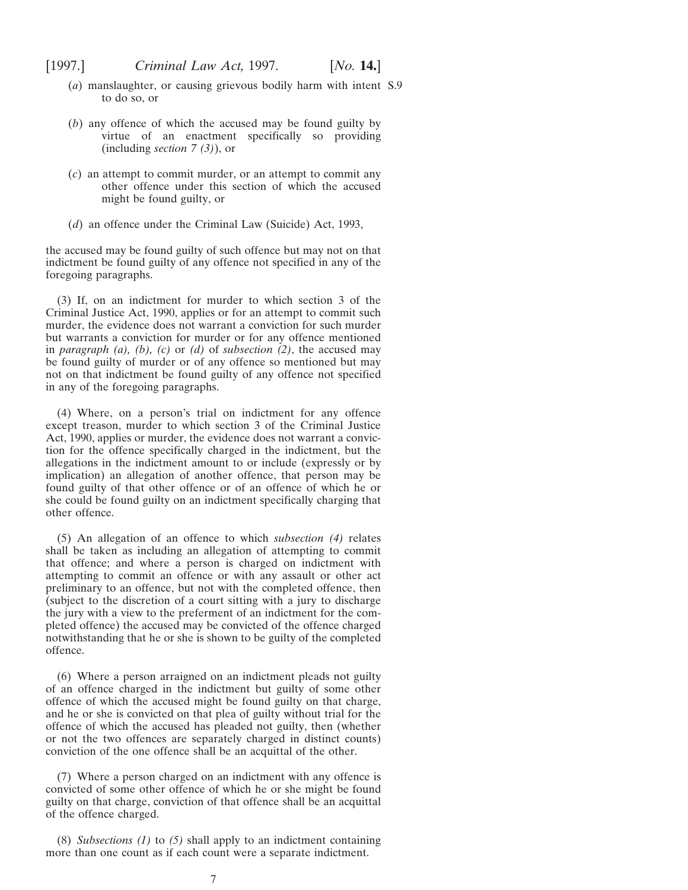- (*a*) manslaughter, or causing grievous bodily harm with intent S.9to do so, or
- (*b*) any offence of which the accused may be found guilty by virtue of an enactment specifically so providing (including *section 7 (3)*), or
- (*c*) an attempt to commit murder, or an attempt to commit any other offence under this section of which the accused might be found guilty, or
- (*d*) an offence under the Criminal Law (Suicide) Act, 1993,

the accused may be found guilty of such offence but may not on that indictment be found guilty of any offence not specified in any of the foregoing paragraphs.

(3) If, on an indictment for murder to which section 3 of the Criminal Justice Act, 1990, applies or for an attempt to commit such murder, the evidence does not warrant a conviction for such murder but warrants a conviction for murder or for any offence mentioned in *paragraph (a), (b), (c)* or *(d)* of *subsection (2)*, the accused may be found guilty of murder or of any offence so mentioned but may not on that indictment be found guilty of any offence not specified in any of the foregoing paragraphs.

(4) Where, on a person's trial on indictment for any offence except treason, murder to which section 3 of the Criminal Justice Act, 1990, applies or murder, the evidence does not warrant a conviction for the offence specifically charged in the indictment, but the allegations in the indictment amount to or include (expressly or by implication) an allegation of another offence, that person may be found guilty of that other offence or of an offence of which he or she could be found guilty on an indictment specifically charging that other offence.

(5) An allegation of an offence to which *subsection (4)* relates shall be taken as including an allegation of attempting to commit that offence; and where a person is charged on indictment with attempting to commit an offence or with any assault or other act preliminary to an offence, but not with the completed offence, then (subject to the discretion of a court sitting with a jury to discharge the jury with a view to the preferment of an indictment for the completed offence) the accused may be convicted of the offence charged notwithstanding that he or she is shown to be guilty of the completed offence.

(6) Where a person arraigned on an indictment pleads not guilty of an offence charged in the indictment but guilty of some other offence of which the accused might be found guilty on that charge, and he or she is convicted on that plea of guilty without trial for the offence of which the accused has pleaded not guilty, then (whether or not the two offences are separately charged in distinct counts) conviction of the one offence shall be an acquittal of the other.

(7) Where a person charged on an indictment with any offence is convicted of some other offence of which he or she might be found guilty on that charge, conviction of that offence shall be an acquittal of the offence charged.

(8) *Subsections (1)* to *(5)* shall apply to an indictment containing more than one count as if each count were a separate indictment.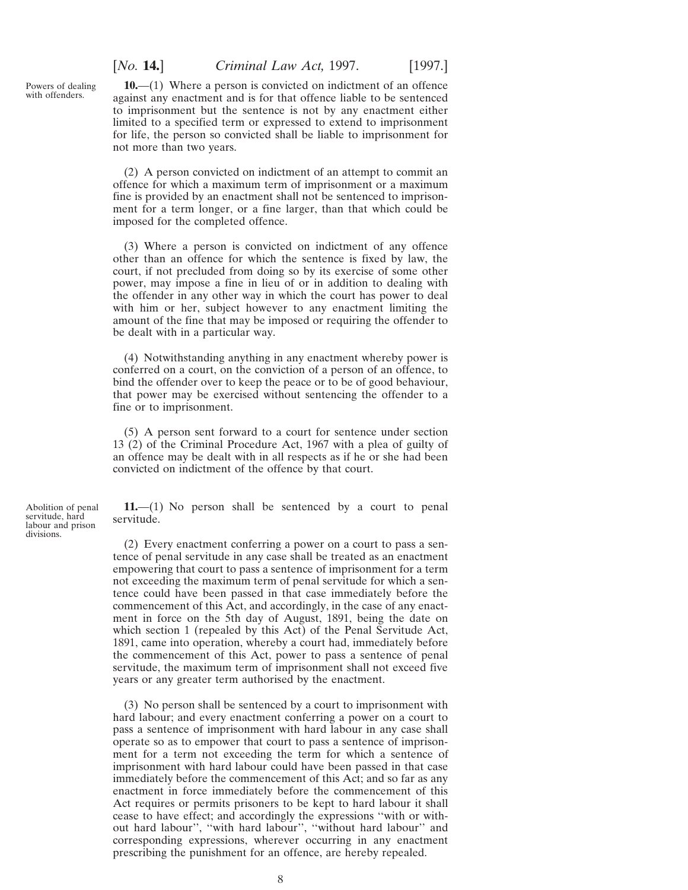<span id="page-7-0"></span>Powers of dealing with offenders.

**10.**—(1) Where a person is convicted on indictment of an offence against any enactment and is for that offence liable to be sentenced to imprisonment but the sentence is not by any enactment either limited to a specified term or expressed to extend to imprisonment for life, the person so convicted shall be liable to imprisonment for not more than two years.

(2) A person convicted on indictment of an attempt to commit an offence for which a maximum term of imprisonment or a maximum fine is provided by an enactment shall not be sentenced to imprisonment for a term longer, or a fine larger, than that which could be imposed for the completed offence.

(3) Where a person is convicted on indictment of any offence other than an offence for which the sentence is fixed by law, the court, if not precluded from doing so by its exercise of some other power, may impose a fine in lieu of or in addition to dealing with the offender in any other way in which the court has power to deal with him or her, subject however to any enactment limiting the amount of the fine that may be imposed or requiring the offender to be dealt with in a particular way.

(4) Notwithstanding anything in any enactment whereby power is conferred on a court, on the conviction of a person of an offence, to bind the offender over to keep the peace or to be of good behaviour, that power may be exercised without sentencing the offender to a fine or to imprisonment.

(5) A person sent forward to a court for sentence under section 13 (2) of the Criminal Procedure Act, 1967 with a plea of guilty of an offence may be dealt with in all respects as if he or she had been convicted on indictment of the offence by that court.

**11.**—(1) No person shall be sentenced by a court to penal servitude.

(2) Every enactment conferring a power on a court to pass a sentence of penal servitude in any case shall be treated as an enactment empowering that court to pass a sentence of imprisonment for a term not exceeding the maximum term of penal servitude for which a sentence could have been passed in that case immediately before the commencement of this Act, and accordingly, in the case of any enactment in force on the 5th day of August, 1891, being the date on which section 1 (repealed by this Act) of the Penal Servitude Act, 1891, came into operation, whereby a court had, immediately before the commencement of this Act, power to pass a sentence of penal servitude, the maximum term of imprisonment shall not exceed five years or any greater term authorised by the enactment.

(3) No person shall be sentenced by a court to imprisonment with hard labour; and every enactment conferring a power on a court to pass a sentence of imprisonment with hard labour in any case shall operate so as to empower that court to pass a sentence of imprisonment for a term not exceeding the term for which a sentence of imprisonment with hard labour could have been passed in that case immediately before the commencement of this Act; and so far as any enactment in force immediately before the commencement of this Act requires or permits prisoners to be kept to hard labour it shall cease to have effect; and accordingly the expressions ''with or without hard labour'', ''with hard labour'', ''without hard labour'' and corresponding expressions, wherever occurring in any enactment prescribing the punishment for an offence, are hereby repealed.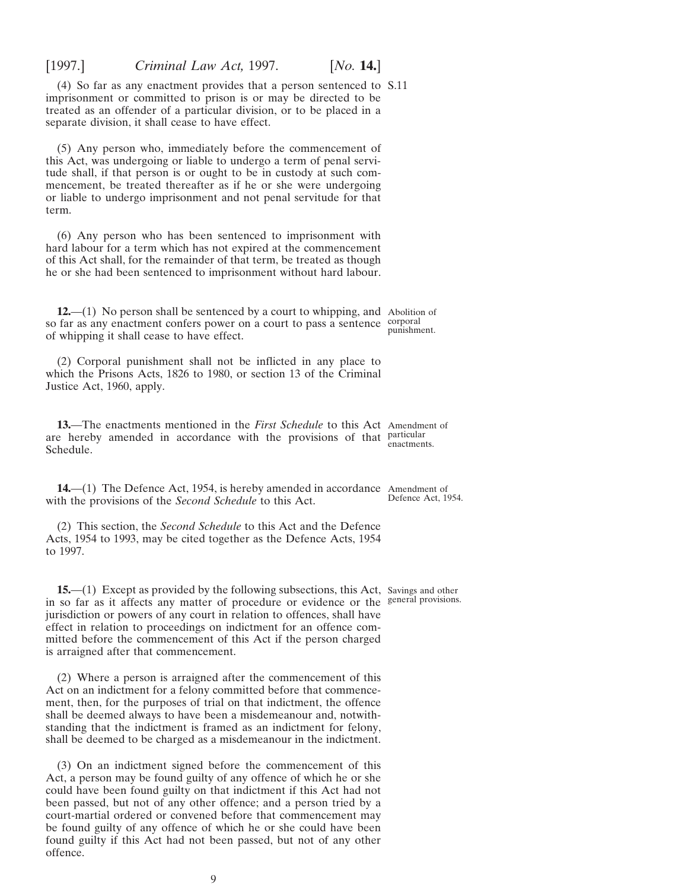Act on an indictment for a felony committed before that commencement, then, for the purposes of trial on that indictment, the offence shall be deemed always to have been a misdemeanour and, notwithstanding that the indictment is framed as an indictment for felony, shall be deemed to be charged as a misdemeanour in the indictment. (3) On an indictment signed before the commencement of this Act, a person may be found guilty of any offence of which he or she could have been found guilty on that indictment if this Act had not been passed, but not of any other offence; and a person tried by a court-martial ordered or convened before that commencement may be found guilty of any offence of which he or she could have been found guilty if this Act had not been passed, but not of any other offence. 9

**15.—(1)** Except as provided by the following subsections, this Act, Savings and other in so far as it affects any matter of procedure or evidence or the general provisions.jurisdiction or powers of any court in relation to offences, shall have effect in relation to proceedings on indictment for an offence committed before the commencement of this Act if the person charged is arraigned after that commencement.

(2) Where a person is arraigned after the commencement of this

to 1997.

with the provisions of the *Second Schedule* to this Act. (2) This section, the *Second Schedule* to this Act and the Defence Acts, 1954 to 1993, may be cited together as the Defence Acts, 1954 Defence Act, 1954.

**14.**—(1) The Defence Act, 1954, is hereby amended in accordance Amendment of

Schedule.

**13.**—The enactments mentioned in the *First Schedule* to this Act Amendment of are hereby amended in accordance with the provisions of that particular enactments.

which the Prisons Acts, 1826 to 1980, or section 13 of the Criminal Justice Act, 1960, apply.

(2) Corporal punishment shall not be inflicted in any place to

of whipping it shall cease to have effect.

he or she had been sentenced to imprisonment without hard labour.

(5) Any person who, immediately before the commencement of this Act, was undergoing or liable to undergo a term of penal servitude shall, if that person is or ought to be in custody at such commencement, be treated thereafter as if he or she were undergoing or liable to undergo imprisonment and not penal servitude for that term.

(4) So far as any enactment provides that a person sentenced to S.11 imprisonment or committed to prison is or may be directed to be treated as an offender of a particular division, or to be placed in a separate division, it shall cease to have effect.

<span id="page-8-0"></span>[1997.] *Criminal Law Act,* 1997. [*No.* **14.**]

(6) Any person who has been sentenced to imprisonment with hard labour for a term which has not expired at the commencement of this Act shall, for the remainder of that term, be treated as though

**12.**—(1) No person shall be sentenced by a court to whipping, and Abolition of so far as any enactment confers power on a court to pass a sentence corporal punishment.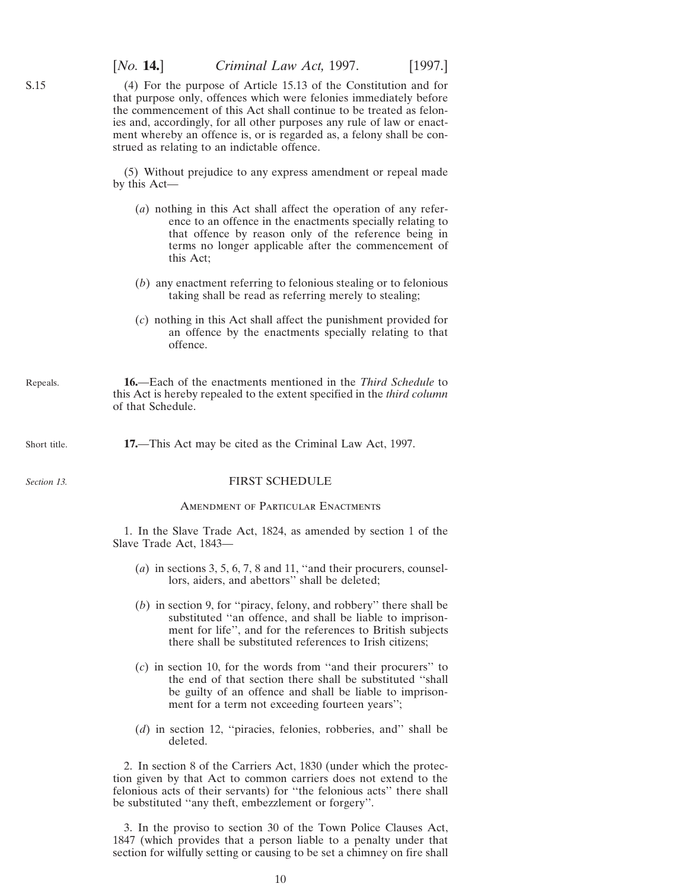(4) For the purpose of Article 15.13 of the Constitution and for that purpose only, offences which were felonies immediately before the commencement of this Act shall continue to be treated as felonies and, accordingly, for all other purposes any rule of law or enactment whereby an offence is, or is regarded as, a felony shall be construed as relating to an indictable offence.

(5) Without prejudice to any express amendment or repeal made by this Act—

- (*a*) nothing in this Act shall affect the operation of any reference to an offence in the enactments specially relating to that offence by reason only of the reference being in terms no longer applicable after the commencement of this Act;
- (*b*) any enactment referring to felonious stealing or to felonious taking shall be read as referring merely to stealing;
- (*c*) nothing in this Act shall affect the punishment provided for an offence by the enactments specially relating to that offence.
- Repeals. **16.**—Each of the enactments mentioned in the *Third Schedule* to this Act is hereby repealed to the extent specified in the *third column* of that Schedule.
- Short title. **17.**—This Act may be cited as the Criminal Law Act, 1997.

*Section 13.*

<span id="page-9-0"></span>S.15

#### FIRST SCHEDULE

#### Amendment of Particular Enactments

1. In the Slave Trade Act, 1824, as amended by section 1 of the Slave Trade Act, 1843—

- (*a*) in sections 3, 5, 6, 7, 8 and 11, ''and their procurers, counsellors, aiders, and abettors'' shall be deleted;
- (*b*) in section 9, for ''piracy, felony, and robbery'' there shall be substituted ''an offence, and shall be liable to imprisonment for life'', and for the references to British subjects there shall be substituted references to Irish citizens;
- (*c*) in section 10, for the words from ''and their procurers'' to the end of that section there shall be substituted ''shall be guilty of an offence and shall be liable to imprisonment for a term not exceeding fourteen years'';
- (*d*) in section 12, ''piracies, felonies, robberies, and'' shall be deleted.

2. In section 8 of the Carriers Act, 1830 (under which the protection given by that Act to common carriers does not extend to the felonious acts of their servants) for ''the felonious acts'' there shall be substituted ''any theft, embezzlement or forgery''.

3. In the proviso to section 30 of the Town Police Clauses Act, 1847 (which provides that a person liable to a penalty under that section for wilfully setting or causing to be set a chimney on fire shall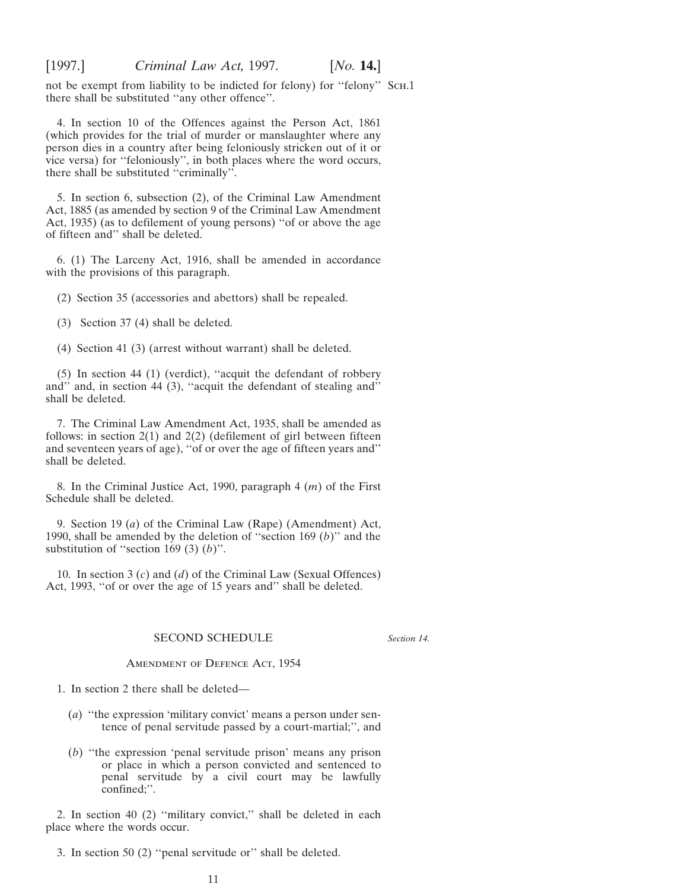<span id="page-10-0"></span>not be exempt from liability to be indicted for felony) for ''felony'' Sch.1 there shall be substituted ''any other offence''.

4. In section 10 of the Offences against the Person Act, 1861 (which provides for the trial of murder or manslaughter where any person dies in a country after being feloniously stricken out of it or vice versa) for ''feloniously'', in both places where the word occurs, there shall be substituted ''criminally''.

5. In section 6, subsection (2), of the Criminal Law Amendment Act, 1885 (as amended by section 9 of the Criminal Law Amendment Act, 1935) (as to defilement of young persons) ''of or above the age of fifteen and'' shall be deleted.

6. (1) The Larceny Act, 1916, shall be amended in accordance with the provisions of this paragraph.

(2) Section 35 (accessories and abettors) shall be repealed.

(3) Section 37 (4) shall be deleted.

(4) Section 41 (3) (arrest without warrant) shall be deleted.

(5) In section 44 (1) (verdict), ''acquit the defendant of robbery and'' and, in section 44 (3), ''acquit the defendant of stealing and'' shall be deleted.

7. The Criminal Law Amendment Act, 1935, shall be amended as follows: in section  $2(1)$  and  $2(2)$  (defilement of girl between fifteen and seventeen years of age), ''of or over the age of fifteen years and'' shall be deleted.

8. In the Criminal Justice Act, 1990, paragraph 4 (*m*) of the First Schedule shall be deleted.

9. Section 19 (*a*) of the Criminal Law (Rape) (Amendment) Act, 1990, shall be amended by the deletion of ''section 169 (*b*)'' and the substitution of ''section 169 (3) (*b*)''.

10. In section 3 (*c*) and (*d*) of the Criminal Law (Sexual Offences) Act, 1993, ''of or over the age of 15 years and'' shall be deleted.

#### SECOND SCHEDULE

*Section 14.*

Amendment of Defence Act, 1954

1. In section 2 there shall be deleted—

- (*a*) ''the expression 'military convict' means a person under sentence of penal servitude passed by a court-martial;'', and
- (*b*) ''the expression 'penal servitude prison' means any prison or place in which a person convicted and sentenced to penal servitude by a civil court may be lawfully confined;''.

2. In section 40 (2) ''military convict,'' shall be deleted in each place where the words occur.

3. In section 50 (2) ''penal servitude or'' shall be deleted.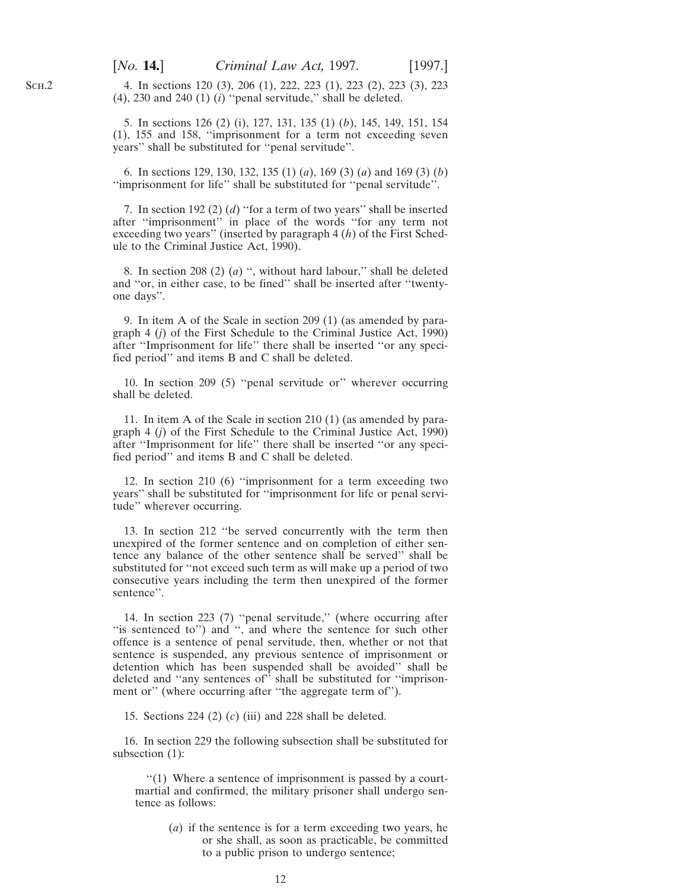4. In sections 120 (3), 206 (1), 222, 223 (1), 223 (2), 223 (3), 223  $(4)$ , 230 and 240  $(1)$   $(i)$  "penal servitude," shall be deleted.

5. In sections 126 (2) (i), 127, 131, 135 (1) (*b*), 145, 149, 151, 154 (1), 155 and 158, ''imprisonment for a term not exceeding seven years'' shall be substituted for ''penal servitude''.

6. In sections 129, 130, 132, 135 (1) (*a*), 169 (3) (*a*) and 169 (3) (*b*) ''imprisonment for life'' shall be substituted for ''penal servitude''.

7. In section 192 (2) (*d*) ''for a term of two years'' shall be inserted after ''imprisonment'' in place of the words ''for any term not exceeding two years'' (inserted by paragraph 4 (*h*) of the First Schedule to the Criminal Justice Act, 1990).

8. In section 208 (2) (*a*) '', without hard labour,'' shall be deleted and ''or, in either case, to be fined'' shall be inserted after ''twentyone days''.

9. In item A of the Scale in section 209 (1) (as amended by paragraph 4 (*j*) of the First Schedule to the Criminal Justice Act, 1990) after ''Imprisonment for life'' there shall be inserted ''or any specified period'' and items B and C shall be deleted.

10. In section 209 (5) ''penal servitude or'' wherever occurring shall be deleted.

11. In item A of the Scale in section 210 (1) (as amended by paragraph 4 (*j*) of the First Schedule to the Criminal Justice Act, 1990) after ''Imprisonment for life'' there shall be inserted ''or any specified period'' and items B and C shall be deleted.

12. In section 210 (6) ''imprisonment for a term exceeding two years'' shall be substituted for ''imprisonment for life or penal servitude'' wherever occurring.

13. In section 212 ''be served concurrently with the term then unexpired of the former sentence and on completion of either sentence any balance of the other sentence shall be served'' shall be substituted for ''not exceed such term as will make up a period of two consecutive years including the term then unexpired of the former sentence''.

14. In section 223 (7) ''penal servitude,'' (where occurring after ''is sentenced to'') and '', and where the sentence for such other offence is a sentence of penal servitude, then, whether or not that sentence is suspended, any previous sentence of imprisonment or detention which has been suspended shall be avoided'' shall be deleted and ''any sentences of'' shall be substituted for ''imprisonment or'' (where occurring after ''the aggregate term of'').

15. Sections 224 (2) (*c*) (iii) and 228 shall be deleted.

16. In section 229 the following subsection shall be substituted for subsection (1):

''(1) Where a sentence of imprisonment is passed by a courtmartial and confirmed, the military prisoner shall undergo sentence as follows:

> (*a*) if the sentence is for a term exceeding two years, he or she shall, as soon as practicable, be committed to a public prison to undergo sentence;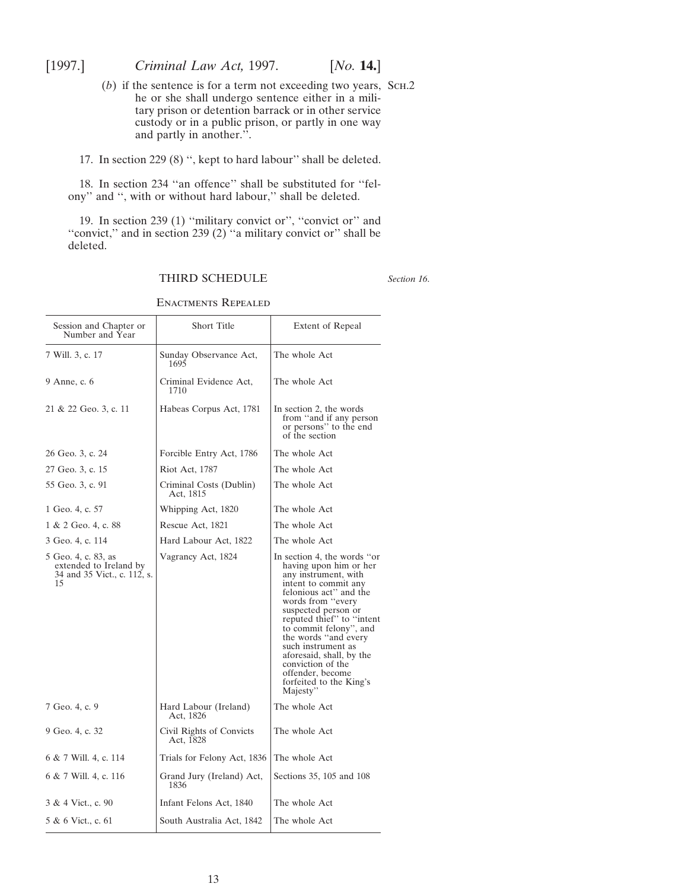- <span id="page-12-0"></span>(*b*) if the sentence is for a term not exceeding two years, Sch.2 he or she shall undergo sentence either in a military prison or detention barrack or in other service custody or in a public prison, or partly in one way and partly in another.".
- 17. In section 229 (8) '', kept to hard labour'' shall be deleted.

18. In section 234 ''an offence'' shall be substituted for ''felony'' and '', with or without hard labour,'' shall be deleted.

19. In section 239 (1) ''military convict or'', ''convict or'' and ''convict,'' and in section 239 (2) ''a military convict or'' shall be deleted.

THIRD SCHEDULE

*Section 16*.

| Session and Chapter or<br>Number and Year                                          | Short Title                           | <b>Extent of Repeal</b>                                                                                                                                                                                                                                                                                                                                                                       |
|------------------------------------------------------------------------------------|---------------------------------------|-----------------------------------------------------------------------------------------------------------------------------------------------------------------------------------------------------------------------------------------------------------------------------------------------------------------------------------------------------------------------------------------------|
| 7 Will. 3, c. 17                                                                   | Sunday Observance Act,<br>1695        | The whole Act                                                                                                                                                                                                                                                                                                                                                                                 |
| 9 Anne, c. 6                                                                       | Criminal Evidence Act,<br>1710        | The whole Act                                                                                                                                                                                                                                                                                                                                                                                 |
| 21 & 22 Geo. 3, c. 11                                                              | Habeas Corpus Act, 1781               | In section 2, the words<br>from "and if any person<br>or persons" to the end<br>of the section                                                                                                                                                                                                                                                                                                |
| 26 Geo. 3, c. 24                                                                   | Forcible Entry Act, 1786              | The whole Act                                                                                                                                                                                                                                                                                                                                                                                 |
| 27 Geo. 3, c. 15                                                                   | Riot Act, 1787                        | The whole Act                                                                                                                                                                                                                                                                                                                                                                                 |
| 55 Geo. 3, c. 91                                                                   | Criminal Costs (Dublin)<br>Act, 1815  | The whole Act                                                                                                                                                                                                                                                                                                                                                                                 |
| 1 Geo. 4, c. 57                                                                    | Whipping Act, 1820                    | The whole Act                                                                                                                                                                                                                                                                                                                                                                                 |
| 1 & 2 Geo. 4, c. 88                                                                | Rescue Act, 1821                      | The whole Act                                                                                                                                                                                                                                                                                                                                                                                 |
| 3 Geo. 4, c. 114                                                                   | Hard Labour Act, 1822                 | The whole Act                                                                                                                                                                                                                                                                                                                                                                                 |
| 5 Geo. 4, c. 83, as<br>extended to Ireland by<br>34 and 35 Vict., c. 112, s.<br>15 | Vagrancy Act, 1824                    | In section 4, the words "or<br>having upon him or her<br>any instrument, with<br>intent to commit any<br>felonious act" and the<br>words from "every"<br>suspected person or<br>reputed thief" to "intent<br>to commit felony", and<br>the words "and every<br>such instrument as<br>aforesaid, shall, by the<br>conviction of the<br>offender, become<br>forfeited to the King's<br>Majesty" |
| 7 Geo. 4, c. 9                                                                     | Hard Labour (Ireland)<br>Act, 1826    | The whole Act                                                                                                                                                                                                                                                                                                                                                                                 |
| 9 Geo. 4, c. 32                                                                    | Civil Rights of Convicts<br>Act, 1828 | The whole Act                                                                                                                                                                                                                                                                                                                                                                                 |
| 6 & 7 Will. 4, c. 114                                                              | Trials for Felony Act, 1836           | The whole Act                                                                                                                                                                                                                                                                                                                                                                                 |
| 6 & 7 Will. 4, c. 116                                                              | Grand Jury (Ireland) Act,<br>1836     | Sections 35, 105 and 108                                                                                                                                                                                                                                                                                                                                                                      |
| 3 & 4 Vict., c. 90                                                                 | Infant Felons Act, 1840               | The whole Act                                                                                                                                                                                                                                                                                                                                                                                 |
| 5 & 6 Vict., c. 61                                                                 | South Australia Act, 1842             | The whole Act                                                                                                                                                                                                                                                                                                                                                                                 |
|                                                                                    |                                       |                                                                                                                                                                                                                                                                                                                                                                                               |

Enactments Repealed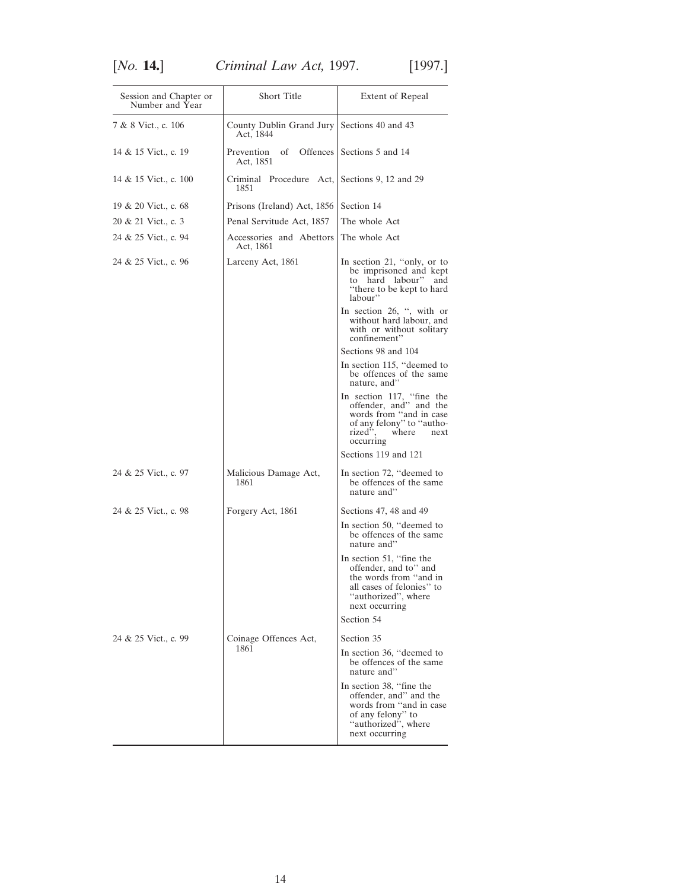| Session and Chapter or<br>Number and Year | Short Title                                              | Extent of Repeal                                                                                                                                     |
|-------------------------------------------|----------------------------------------------------------|------------------------------------------------------------------------------------------------------------------------------------------------------|
| 7 & 8 Vict., c. 106                       | County Dublin Grand Jury Sections 40 and 43<br>Act, 1844 |                                                                                                                                                      |
| 14 & 15 Vict., c. 19                      | Prevention<br>of<br>Act, 1851                            | Offences Sections 5 and 14                                                                                                                           |
| 14 & 15 Vict., c. 100                     | Criminal Procedure Act, Sections 9, 12 and 29<br>1851    |                                                                                                                                                      |
| 19 & 20 Vict., c. 68                      | Prisons (Ireland) Act, 1856                              | Section 14                                                                                                                                           |
| 20 & 21 Vict., c. 3                       | Penal Servitude Act, 1857                                | The whole Act                                                                                                                                        |
| 24 & 25 Vict., c. 94                      | Accessories and Abettors<br>Act, 1861                    | The whole Act                                                                                                                                        |
| 24 & 25 Vict., c. 96                      | Larceny Act, 1861                                        | In section 21, "only, or to<br>be imprisoned and kept<br>to hard labour" and<br>"there to be kept to hard<br>labour"                                 |
|                                           |                                                          | In section 26, ", with or<br>without hard labour, and<br>with or without solitary<br>confinement"                                                    |
|                                           |                                                          | Sections 98 and 104                                                                                                                                  |
|                                           |                                                          | In section 115, "deemed to<br>be offences of the same<br>nature, and"                                                                                |
|                                           |                                                          | In section 117, "fine the<br>offender, and" and the<br>words from "and in case<br>of any felony" to "autho-<br>rized",<br>where<br>next<br>occurring |
|                                           |                                                          | Sections 119 and 121                                                                                                                                 |
| 24 & 25 Vict., c. 97                      | Malicious Damage Act,<br>1861                            | In section 72, "deemed to<br>be offences of the same<br>nature and"                                                                                  |
| 24 & 25 Vict., c. 98                      | Forgery Act, 1861                                        | Sections 47, 48 and 49                                                                                                                               |
|                                           | nature and"                                              | In section 50, "deemed to<br>be offences of the same                                                                                                 |
|                                           |                                                          | In section 51, "fine the<br>offender, and to" and<br>the words from "and in<br>all cases of felonies" to<br>"authorized", where<br>next occurring    |
|                                           |                                                          | Section 54                                                                                                                                           |
| 24 & 25 Vict., c. 99                      | Coinage Offences Act,                                    | Section 35                                                                                                                                           |
|                                           | 1861                                                     | In section 36, "deemed to<br>be offences of the same<br>nature and"                                                                                  |
|                                           |                                                          | In section 38, "fine the<br>offender, and" and the<br>words from "and in case<br>of any felony" to<br>"authorized", where<br>next occurring          |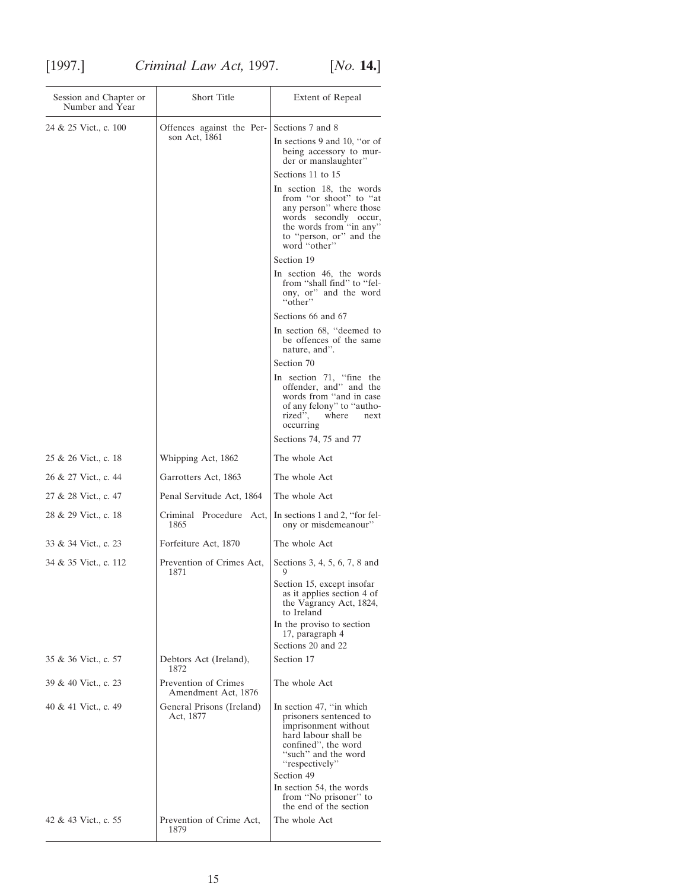| Session and Chapter or<br>Number and Year | <b>Short Title</b>                          | Extent of Repeal                                                                                                                                                                                             |
|-------------------------------------------|---------------------------------------------|--------------------------------------------------------------------------------------------------------------------------------------------------------------------------------------------------------------|
| 24 & 25 Vict., c. 100                     | Offences against the Per-<br>son Act, 1861  | Sections 7 and 8<br>In sections 9 and 10, "or of<br>being accessory to mur-<br>der or manslaughter"<br>Sections 11 to 15                                                                                     |
|                                           |                                             | In section 18, the words<br>from "or shoot" to "at<br>any person" where those<br>words secondly occur,<br>the words from "in any"<br>to "person, or" and the<br>word "other"                                 |
|                                           |                                             | Section 19                                                                                                                                                                                                   |
|                                           |                                             | In section 46, the words<br>from "shall find" to "fel-<br>ony, or" and the word<br>"other"                                                                                                                   |
|                                           |                                             | Sections 66 and 67                                                                                                                                                                                           |
|                                           |                                             | In section 68, "deemed to<br>be offences of the same<br>nature, and".                                                                                                                                        |
|                                           |                                             | Section 70                                                                                                                                                                                                   |
|                                           |                                             | In section 71, "fine the<br>offender, and" and the<br>words from "and in case<br>of any felony" to "autho-<br>rized", where<br>next<br>occurring                                                             |
|                                           |                                             | Sections 74, 75 and 77                                                                                                                                                                                       |
| 25 & 26 Vict., c. 18                      | Whipping Act, 1862                          | The whole Act                                                                                                                                                                                                |
| 26 & 27 Vict., c. 44                      | Garrotters Act, 1863                        | The whole Act                                                                                                                                                                                                |
| 27 & 28 Vict., c. 47                      | Penal Servitude Act, 1864                   | The whole Act                                                                                                                                                                                                |
| 28 & 29 Vict., c. 18                      | Criminal Procedure Act,<br>1865             | In sections 1 and 2, "for fel-<br>ony or misdemeanour"                                                                                                                                                       |
| 33 & 34 Vict., c. 23                      | Forfeiture Act, 1870                        | The whole Act                                                                                                                                                                                                |
| 34 & 35 Vict., c. 112                     | Prevention of Crimes Act,<br>1871           | Sections 3, 4, 5, 6, 7, 8 and<br>9                                                                                                                                                                           |
|                                           |                                             | Section 15, except insofar<br>as it applies section 4 of<br>the Vagrancy Act, 1824,<br>to Ireland                                                                                                            |
|                                           |                                             | In the proviso to section<br>17, paragraph 4                                                                                                                                                                 |
|                                           |                                             | Sections 20 and 22                                                                                                                                                                                           |
| 35 & 36 Vict., c. 57                      | Debtors Act (Ireland),<br>1872              | Section 17                                                                                                                                                                                                   |
| 39 & 40 Vict., c. 23                      | Prevention of Crimes<br>Amendment Act, 1876 | The whole Act                                                                                                                                                                                                |
| 40 & 41 Vict., c. 49                      | General Prisons (Ireland)<br>Act, 1877      | In section 47, "in which<br>prisoners sentenced to<br>imprisonment without<br>hard labour shall be<br>confined", the word<br>"such" and the word<br>"respectively"<br>Section 49<br>In section 54, the words |
|                                           |                                             | from "No prisoner" to<br>the end of the section                                                                                                                                                              |
| 42 & 43 Vict., c. 55                      | Prevention of Crime Act,<br>1879            | The whole Act                                                                                                                                                                                                |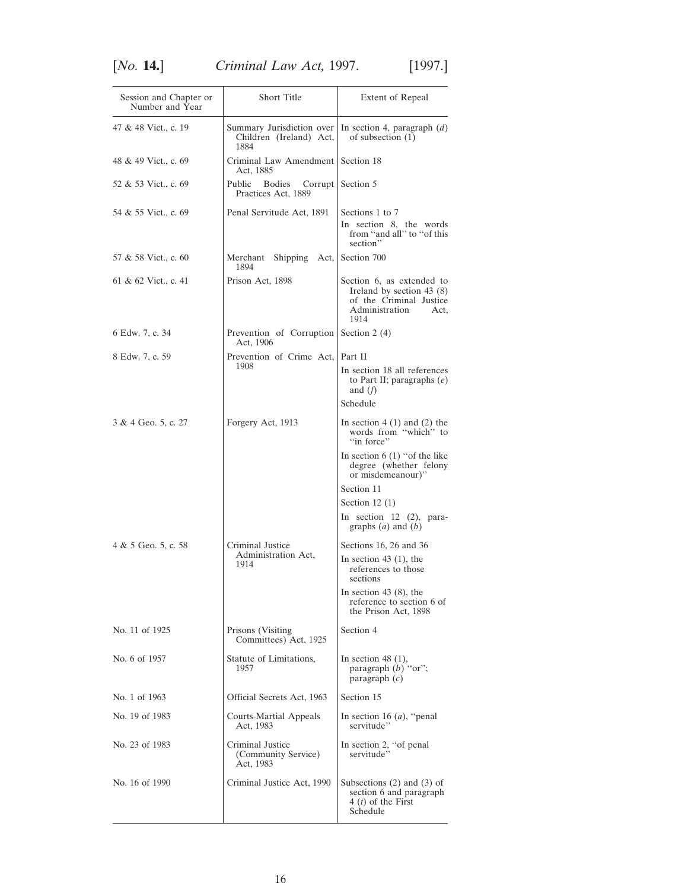| Session and Chapter or<br>Number and Year | Short Title                                          | Extent of Repeal                                                                                                    |
|-------------------------------------------|------------------------------------------------------|---------------------------------------------------------------------------------------------------------------------|
| 47 & 48 Vict., c. 19                      | Children (Ireland) Act,<br>1884                      | Summary Jurisdiction over   In section 4, paragraph $(d)$<br>of subsection $(1)$                                    |
| 48 & 49 Vict., c. 69                      | Criminal Law Amendment   Section 18<br>Act, 1885     |                                                                                                                     |
| 52 & 53 Vict., c. 69                      | Public<br>Bodies<br>Corrupt<br>Practices Act, 1889   | Section 5                                                                                                           |
| 54 & 55 Vict., c. 69                      | Penal Servitude Act, 1891                            | Sections 1 to 7<br>In section 8, the words<br>from "and all" to "of this<br>section"                                |
| 57 & 58 Vict., c. 60                      | Merchant<br><b>Shipping</b><br>Act,<br>1894          | Section 700                                                                                                         |
| 61 & 62 Vict., c. 41                      | Prison Act, 1898                                     | Section 6, as extended to<br>Ireland by section 43 (8)<br>of the Criminal Justice<br>Administration<br>Act,<br>1914 |
| 6 Edw. 7, c. 34                           | Prevention of Corruption<br>Act, 1906                | Section 2 $(4)$                                                                                                     |
| 8 Edw. 7, c. 59                           | Prevention of Crime Act,<br>Part II                  |                                                                                                                     |
|                                           | 1908                                                 | In section 18 all references<br>to Part II; paragraphs $(e)$<br>and $(f)$                                           |
|                                           |                                                      | Schedule                                                                                                            |
| 3 & 4 Geo. 5, c. 27                       | Forgery Act, 1913                                    | In section $4(1)$ and $(2)$ the<br>words from "which" to<br>"in force"                                              |
|                                           |                                                      | In section $6(1)$ "of the like"<br>degree (whether felony<br>or misdemeanour)"                                      |
|                                           |                                                      | Section 11                                                                                                          |
|                                           |                                                      | Section 12 $(1)$                                                                                                    |
|                                           |                                                      | In section $12$ $(2)$ , para-<br>graphs $(a)$ and $(b)$                                                             |
| 4 & 5 Geo. 5, c. 58                       | Criminal Justice<br>Administration Act.              | Sections 16, 26 and 36                                                                                              |
|                                           | 1914                                                 | In section 43 $(1)$ , the<br>references to those<br>sections                                                        |
|                                           |                                                      | In section 43 $(8)$ , the<br>reference to section 6 of<br>the Prison Act, 1898                                      |
| No. 11 of 1925                            | Prisons (Visiting)<br>Committees) Act, 1925          | Section 4                                                                                                           |
| No. 6 of 1957                             | Statute of Limitations,<br>1957                      | In section 48 $(1)$ ,<br>paragraph (b) "or";<br>paragraph $(c)$                                                     |
| No. 1 of 1963                             | Official Secrets Act, 1963                           | Section 15                                                                                                          |
| No. 19 of 1983                            | Courts-Martial Appeals<br>Act, 1983                  | In section 16 $(a)$ , "penal<br>servitude"                                                                          |
| No. 23 of 1983                            | Criminal Justice<br>(Community Service)<br>Act, 1983 | In section 2, "of penal<br>servitude"                                                                               |
| No. 16 of 1990                            | Criminal Justice Act, 1990                           | Subsections $(2)$ and $(3)$ of<br>section 6 and paragraph<br>4 ( <i>t</i> ) of the First<br>Schedule                |